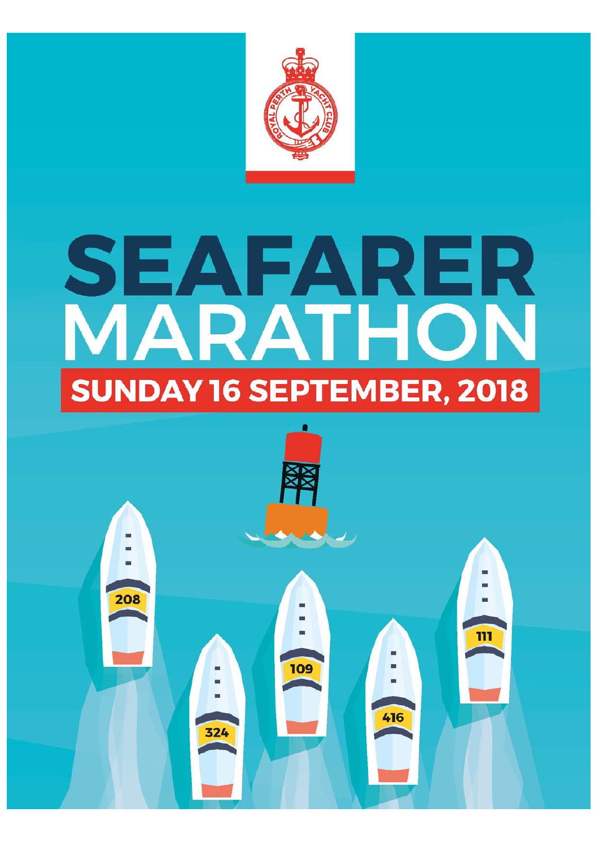

# SEAFARER **SUNDAY 16 SEPTEMBER, 2018**

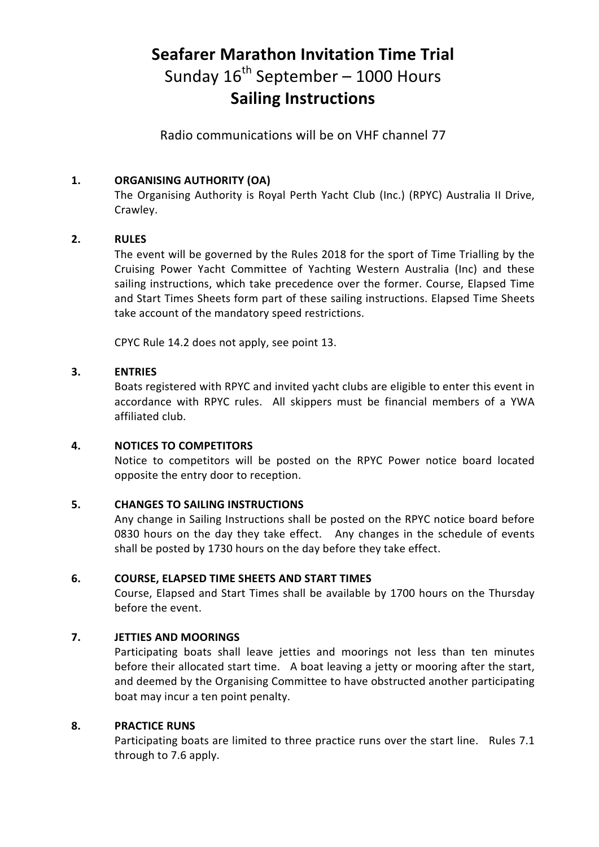# **Seafarer Marathon Invitation Time Trial**  Sunday  $16^{th}$  September – 1000 Hours **Sailing Instructions**

Radio communications will be on VHF channel 77

# **1. ORGANISING AUTHORITY (OA)**

The Organising Authority is Royal Perth Yacht Club (Inc.) (RPYC) Australia II Drive, Crawley.

# **2. RULES**

The event will be governed by the Rules 2018 for the sport of Time Trialling by the Cruising Power Yacht Committee of Yachting Western Australia (Inc) and these sailing instructions, which take precedence over the former. Course, Elapsed Time and Start Times Sheets form part of these sailing instructions. Elapsed Time Sheets take account of the mandatory speed restrictions.

CPYC Rule 14.2 does not apply, see point 13.

#### **3. ENTRIES**

Boats registered with RPYC and invited yacht clubs are eligible to enter this event in accordance with RPYC rules. All skippers must be financial members of a YWA affiliated club.

#### **4. NOTICES TO COMPETITORS**

Notice to competitors will be posted on the RPYC Power notice board located opposite the entry door to reception.

#### **5. CHANGES TO SAILING INSTRUCTIONS**

Any change in Sailing Instructions shall be posted on the RPYC notice board before 0830 hours on the day they take effect. Any changes in the schedule of events shall be posted by 1730 hours on the day before they take effect.

#### **6. COURSE, ELAPSED TIME SHEETS AND START TIMES**

Course, Elapsed and Start Times shall be available by 1700 hours on the Thursday before the event.

#### **7. JETTIES AND MOORINGS**

Participating boats shall leave jetties and moorings not less than ten minutes before their allocated start time. A boat leaving a jetty or mooring after the start, and deemed by the Organising Committee to have obstructed another participating boat may incur a ten point penalty.

#### **8. PRACTICE RUNS**

Participating boats are limited to three practice runs over the start line. Rules 7.1 through to 7.6 apply.